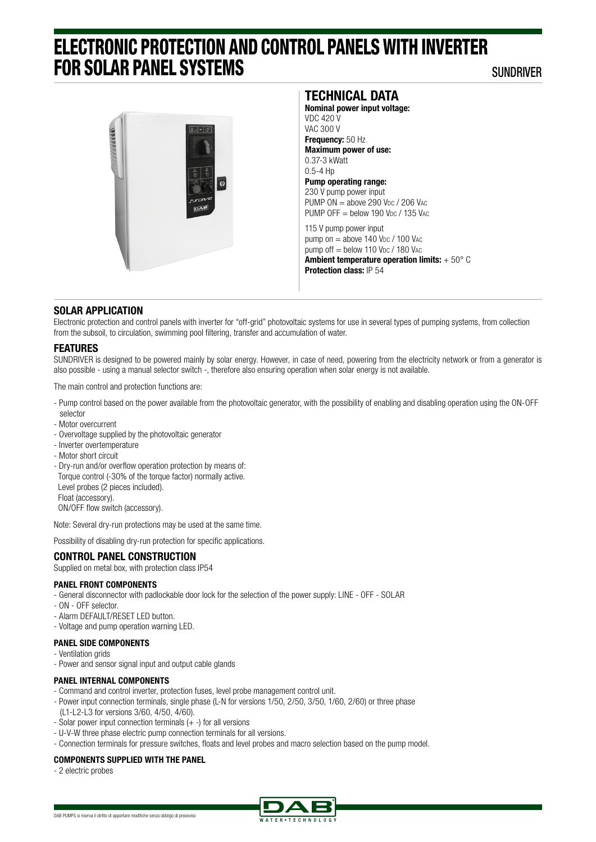# ELECTRONIC PROTECTION AND CONTROL PANELS WITH INVERTER FOR SOLAR PANEL SYSTEMS

SUNDRIVER



## **TECHNICAL DATA**

**Nominal power input voltage:**  VDC 420 V VAC 300 V **Frequency:** 50 Hz **Maximum power of use:**  0.37-3 kWatt 0.5-4 Hp **Pump operating range:** 230 V pump power input PUMP  $ON = above$  290 V<sub>bc</sub> / 206 V<sub>AC</sub> PUMP OFF  $=$  below 190 V<sub>DC</sub> / 135 VAC 115 V pump power input

pump on  $=$  above 140 V<sub>bc</sub> / 100 V<sub>AC</sub> pump off  $=$  below 110 V<sub>DC</sub> / 180 V<sub>AC</sub> **Ambient temperature operation limits:** + 50° C **Protection class:** IP 54

### **SOLAR APPLICATION**

Electronic protection and control panels with inverter for "off-grid" photovoltaic systems for use in several types of pumping systems, from collection from the subsoil, to circulation, swimming pool filtering, transfer and accumulation of water.

#### **FEATURES**

SUNDRIVER is designed to be powered mainly by solar energy. However, in case of need, powering from the electricity network or from a generator is also possible - using a manual selector switch -, therefore also ensuring operation when solar energy is not available.

The main control and protection functions are:

- Pump control based on the power available from the photovoltaic generator, with the possibility of enabling and disabling operation using the ON-OFF selector
- Motor overcurrent
- Overvoltage supplied by the photovoltaic generator
- Inverter overtemperature
- Motor short circuit
- Dry-run and/or overflow operation protection by means of:

 Torque control (-30% of the torque factor) normally active. Level probes (2 pieces included).

Float (accessory).

ON/OFF flow switch (accessory).

Note: Several dry-run protections may be used at the same time.

Possibility of disabling dry-run protection for specific applications.

### **CONTROL PANEL CONSTRUCTION**

Supplied on metal box, with protection class IP54

#### **PANEL FRONT COMPONENTS**

- General disconnector with padlockable door lock for the selection of the power supply: LINE OFF SOLAR
- ON OFF selector.
- Alarm DEFAULT/RESET LED button.
- Voltage and pump operation warning LED.

#### **PANEL SIDE COMPONENTS**

- Ventilation grids
- Power and sensor signal input and output cable glands

#### **PANEL INTERNAL COMPONENTS**

- Command and control inverter, protection fuses, level probe management control unit.
- Power input connection terminals, single phase (L-N for versions 1/50, 2/50, 3/50, 1/60, 2/60) or three phase (L1-L2-L3 for versions 3/60, 4/50, 4/60).
- Solar power input connection terminals (+ -) for all versions
- U-V-W three phase electric pump connection terminals for all versions.
- Connection terminals for pressure switches, floats and level probes and macro selection based on the pump model.

#### **COMPONENTS SUPPLIED WITH THE PANEL**

- 2 electric probes